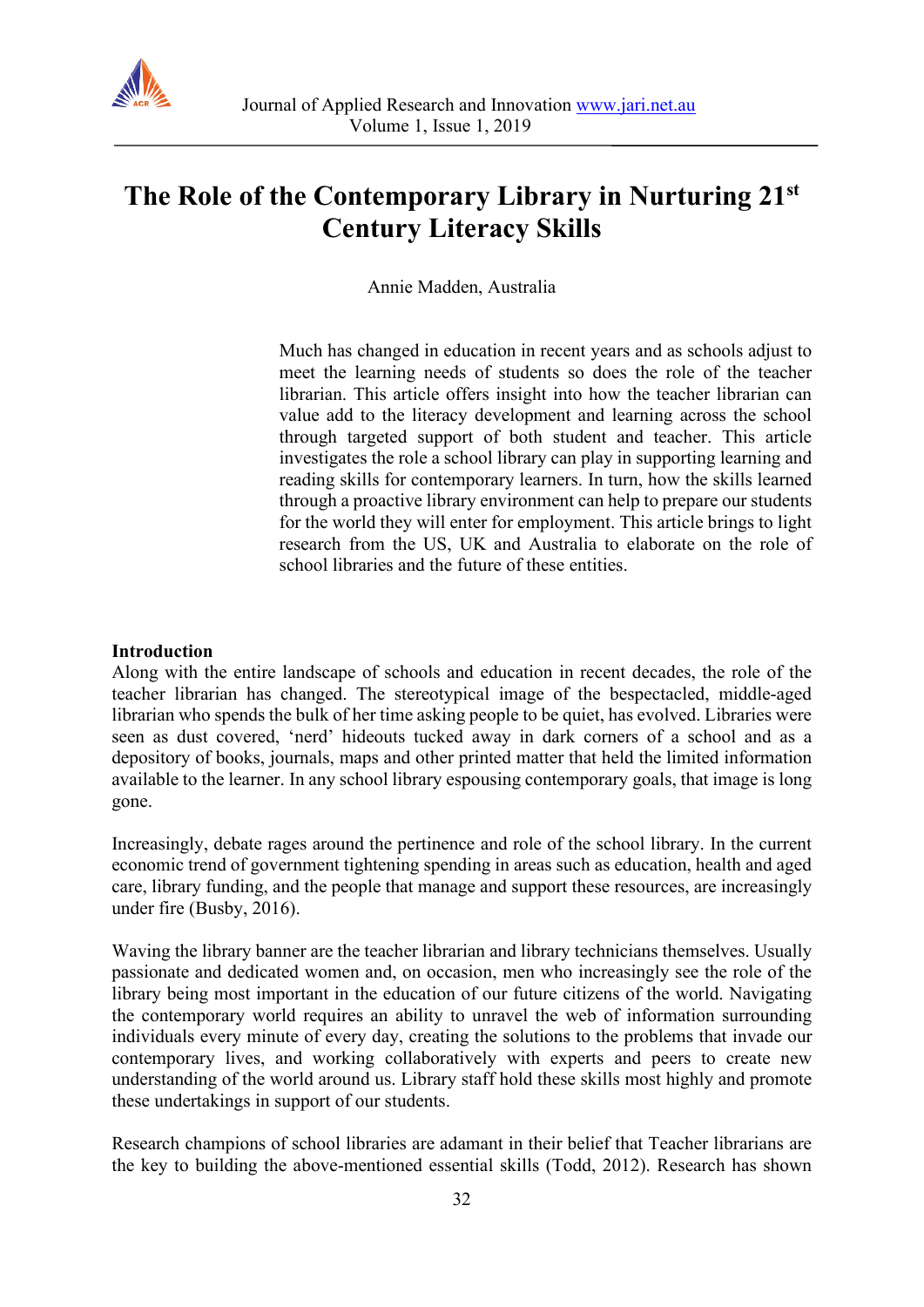

# **The Role of the Contemporary Library in Nurturing 21st Century Literacy Skills**

Annie Madden, Australia

Much has changed in education in recent years and as schools adjust to meet the learning needs of students so does the role of the teacher librarian. This article offers insight into how the teacher librarian can value add to the literacy development and learning across the school through targeted support of both student and teacher. This article investigates the role a school library can play in supporting learning and reading skills for contemporary learners. In turn, how the skills learned through a proactive library environment can help to prepare our students for the world they will enter for employment. This article brings to light research from the US, UK and Australia to elaborate on the role of school libraries and the future of these entities.

#### **Introduction**

Along with the entire landscape of schools and education in recent decades, the role of the teacher librarian has changed. The stereotypical image of the bespectacled, middle-aged librarian who spends the bulk of her time asking people to be quiet, has evolved. Libraries were seen as dust covered, 'nerd' hideouts tucked away in dark corners of a school and as a depository of books, journals, maps and other printed matter that held the limited information available to the learner. In any school library espousing contemporary goals, that image is long gone.

Increasingly, debate rages around the pertinence and role of the school library. In the current economic trend of government tightening spending in areas such as education, health and aged care, library funding, and the people that manage and support these resources, are increasingly under fire (Busby, 2016).

Waving the library banner are the teacher librarian and library technicians themselves. Usually passionate and dedicated women and, on occasion, men who increasingly see the role of the library being most important in the education of our future citizens of the world. Navigating the contemporary world requires an ability to unravel the web of information surrounding individuals every minute of every day, creating the solutions to the problems that invade our contemporary lives, and working collaboratively with experts and peers to create new understanding of the world around us. Library staff hold these skills most highly and promote these undertakings in support of our students.

Research champions of school libraries are adamant in their belief that Teacher librarians are the key to building the above-mentioned essential skills (Todd, 2012). Research has shown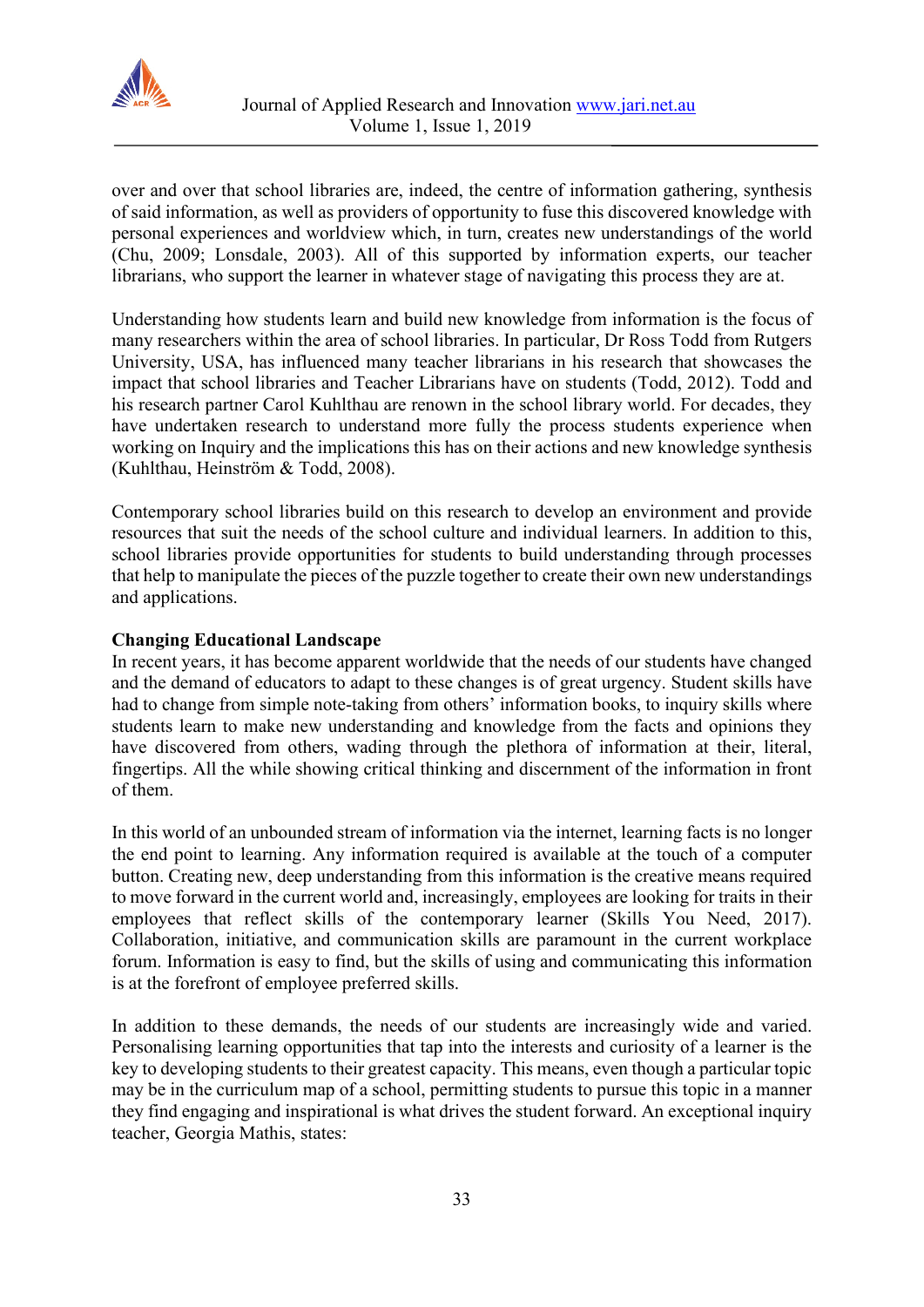

over and over that school libraries are, indeed, the centre of information gathering, synthesis of said information, as well as providers of opportunity to fuse this discovered knowledge with personal experiences and worldview which, in turn, creates new understandings of the world (Chu, 2009; Lonsdale, 2003). All of this supported by information experts, our teacher librarians, who support the learner in whatever stage of navigating this process they are at.

Understanding how students learn and build new knowledge from information is the focus of many researchers within the area of school libraries. In particular, Dr Ross Todd from Rutgers University, USA, has influenced many teacher librarians in his research that showcases the impact that school libraries and Teacher Librarians have on students (Todd, 2012). Todd and his research partner Carol Kuhlthau are renown in the school library world. For decades, they have undertaken research to understand more fully the process students experience when working on Inquiry and the implications this has on their actions and new knowledge synthesis (Kuhlthau, Heinström & Todd, 2008).

Contemporary school libraries build on this research to develop an environment and provide resources that suit the needs of the school culture and individual learners. In addition to this, school libraries provide opportunities for students to build understanding through processes that help to manipulate the pieces of the puzzle together to create their own new understandings and applications.

### **Changing Educational Landscape**

In recent years, it has become apparent worldwide that the needs of our students have changed and the demand of educators to adapt to these changes is of great urgency. Student skills have had to change from simple note-taking from others' information books, to inquiry skills where students learn to make new understanding and knowledge from the facts and opinions they have discovered from others, wading through the plethora of information at their, literal, fingertips. All the while showing critical thinking and discernment of the information in front of them.

In this world of an unbounded stream of information via the internet, learning facts is no longer the end point to learning. Any information required is available at the touch of a computer button. Creating new, deep understanding from this information is the creative means required to move forward in the current world and, increasingly, employees are looking for traits in their employees that reflect skills of the contemporary learner (Skills You Need, 2017). Collaboration, initiative, and communication skills are paramount in the current workplace forum. Information is easy to find, but the skills of using and communicating this information is at the forefront of employee preferred skills.

In addition to these demands, the needs of our students are increasingly wide and varied. Personalising learning opportunities that tap into the interests and curiosity of a learner is the key to developing students to their greatest capacity. This means, even though a particular topic may be in the curriculum map of a school, permitting students to pursue this topic in a manner they find engaging and inspirational is what drives the student forward. An exceptional inquiry teacher, Georgia Mathis, states: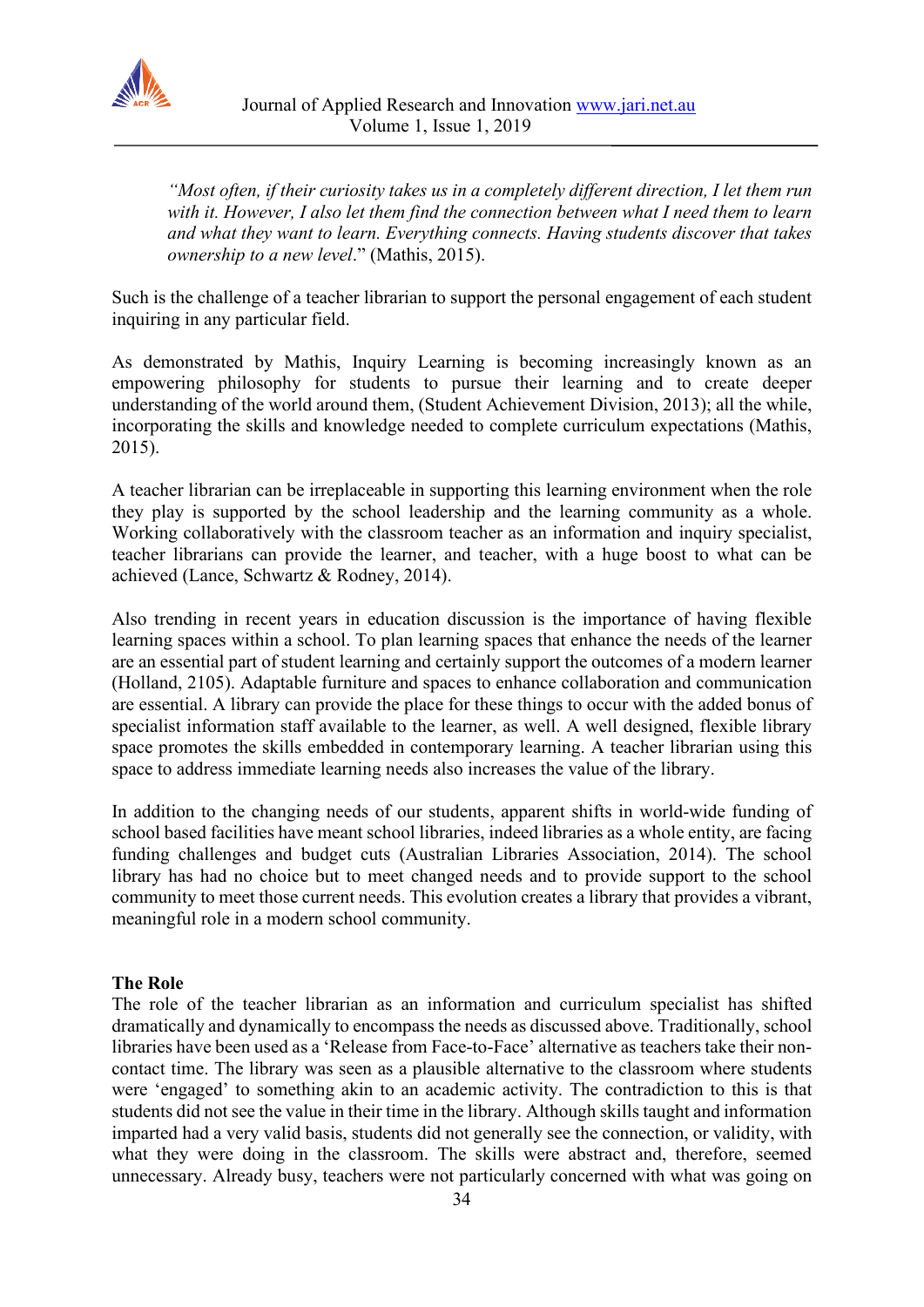

*"Most often, if their curiosity takes us in a completely different direction, I let them run with it. However, I also let them find the connection between what I need them to learn and what they want to learn. Everything connects. Having students discover that takes ownership to a new level*." (Mathis, 2015).

Such is the challenge of a teacher librarian to support the personal engagement of each student inquiring in any particular field.

As demonstrated by Mathis, Inquiry Learning is becoming increasingly known as an empowering philosophy for students to pursue their learning and to create deeper understanding of the world around them, (Student Achievement Division, 2013); all the while, incorporating the skills and knowledge needed to complete curriculum expectations (Mathis, 2015).

A teacher librarian can be irreplaceable in supporting this learning environment when the role they play is supported by the school leadership and the learning community as a whole. Working collaboratively with the classroom teacher as an information and inquiry specialist, teacher librarians can provide the learner, and teacher, with a huge boost to what can be achieved (Lance, Schwartz & Rodney, 2014).

Also trending in recent years in education discussion is the importance of having flexible learning spaces within a school. To plan learning spaces that enhance the needs of the learner are an essential part of student learning and certainly support the outcomes of a modern learner (Holland, 2105). Adaptable furniture and spaces to enhance collaboration and communication are essential. A library can provide the place for these things to occur with the added bonus of specialist information staff available to the learner, as well. A well designed, flexible library space promotes the skills embedded in contemporary learning. A teacher librarian using this space to address immediate learning needs also increases the value of the library.

In addition to the changing needs of our students, apparent shifts in world-wide funding of school based facilities have meant school libraries, indeed libraries as a whole entity, are facing funding challenges and budget cuts (Australian Libraries Association, 2014). The school library has had no choice but to meet changed needs and to provide support to the school community to meet those current needs. This evolution creates a library that provides a vibrant, meaningful role in a modern school community.

#### **The Role**

The role of the teacher librarian as an information and curriculum specialist has shifted dramatically and dynamically to encompass the needs as discussed above. Traditionally, school libraries have been used as a 'Release from Face-to-Face' alternative as teachers take their noncontact time. The library was seen as a plausible alternative to the classroom where students were 'engaged' to something akin to an academic activity. The contradiction to this is that students did not see the value in their time in the library. Although skills taught and information imparted had a very valid basis, students did not generally see the connection, or validity, with what they were doing in the classroom. The skills were abstract and, therefore, seemed unnecessary. Already busy, teachers were not particularly concerned with what was going on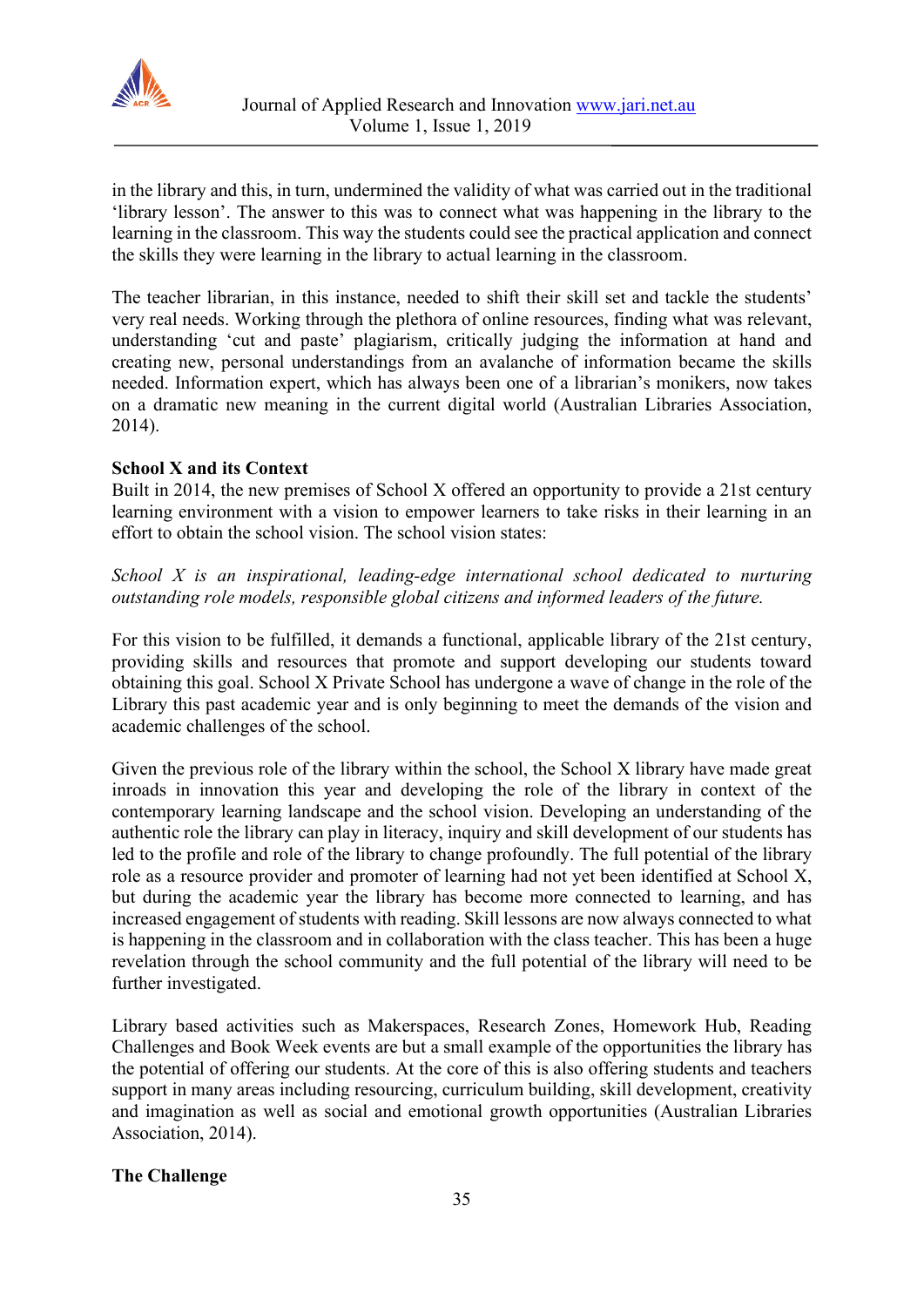

in the library and this, in turn, undermined the validity of what was carried out in the traditional 'library lesson'. The answer to this was to connect what was happening in the library to the learning in the classroom. This way the students could see the practical application and connect the skills they were learning in the library to actual learning in the classroom.

The teacher librarian, in this instance, needed to shift their skill set and tackle the students' very real needs. Working through the plethora of online resources, finding what was relevant, understanding 'cut and paste' plagiarism, critically judging the information at hand and creating new, personal understandings from an avalanche of information became the skills needed. Information expert, which has always been one of a librarian's monikers, now takes on a dramatic new meaning in the current digital world (Australian Libraries Association, 2014).

# **School X and its Context**

Built in 2014, the new premises of School X offered an opportunity to provide a 21st century learning environment with a vision to empower learners to take risks in their learning in an effort to obtain the school vision. The school vision states:

*School X is an inspirational, leading-edge international school dedicated to nurturing outstanding role models, responsible global citizens and informed leaders of the future.*

For this vision to be fulfilled, it demands a functional, applicable library of the 21st century, providing skills and resources that promote and support developing our students toward obtaining this goal. School X Private School has undergone a wave of change in the role of the Library this past academic year and is only beginning to meet the demands of the vision and academic challenges of the school.

Given the previous role of the library within the school, the School X library have made great inroads in innovation this year and developing the role of the library in context of the contemporary learning landscape and the school vision. Developing an understanding of the authentic role the library can play in literacy, inquiry and skill development of our students has led to the profile and role of the library to change profoundly. The full potential of the library role as a resource provider and promoter of learning had not yet been identified at School X, but during the academic year the library has become more connected to learning, and has increased engagement of students with reading. Skill lessons are now always connected to what is happening in the classroom and in collaboration with the class teacher. This has been a huge revelation through the school community and the full potential of the library will need to be further investigated.

Library based activities such as Makerspaces, Research Zones, Homework Hub, Reading Challenges and Book Week events are but a small example of the opportunities the library has the potential of offering our students. At the core of this is also offering students and teachers support in many areas including resourcing, curriculum building, skill development, creativity and imagination as well as social and emotional growth opportunities (Australian Libraries Association, 2014).

# **The Challenge**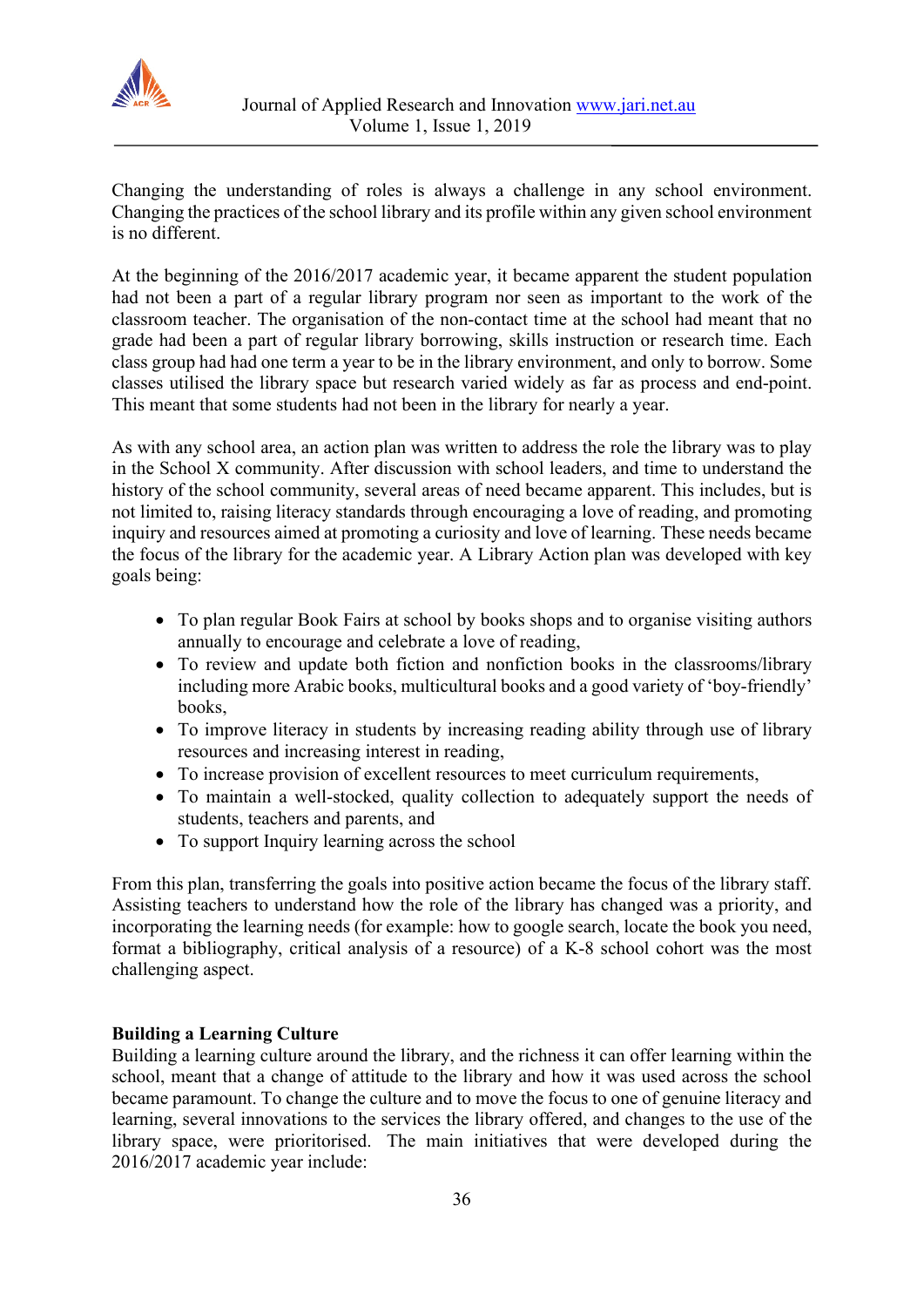

Changing the understanding of roles is always a challenge in any school environment. Changing the practices of the school library and its profile within any given school environment is no different.

At the beginning of the 2016/2017 academic year, it became apparent the student population had not been a part of a regular library program nor seen as important to the work of the classroom teacher. The organisation of the non-contact time at the school had meant that no grade had been a part of regular library borrowing, skills instruction or research time. Each class group had had one term a year to be in the library environment, and only to borrow. Some classes utilised the library space but research varied widely as far as process and end-point. This meant that some students had not been in the library for nearly a year.

As with any school area, an action plan was written to address the role the library was to play in the School X community. After discussion with school leaders, and time to understand the history of the school community, several areas of need became apparent. This includes, but is not limited to, raising literacy standards through encouraging a love of reading, and promoting inquiry and resources aimed at promoting a curiosity and love of learning. These needs became the focus of the library for the academic year. A Library Action plan was developed with key goals being:

- To plan regular Book Fairs at school by books shops and to organise visiting authors annually to encourage and celebrate a love of reading,
- To review and update both fiction and nonfiction books in the classrooms/library including more Arabic books, multicultural books and a good variety of 'boy-friendly' books,
- To improve literacy in students by increasing reading ability through use of library resources and increasing interest in reading,
- To increase provision of excellent resources to meet curriculum requirements,
- To maintain a well-stocked, quality collection to adequately support the needs of students, teachers and parents, and
- To support Inquiry learning across the school

From this plan, transferring the goals into positive action became the focus of the library staff. Assisting teachers to understand how the role of the library has changed was a priority, and incorporating the learning needs (for example: how to google search, locate the book you need, format a bibliography, critical analysis of a resource) of a K-8 school cohort was the most challenging aspect.

# **Building a Learning Culture**

Building a learning culture around the library, and the richness it can offer learning within the school, meant that a change of attitude to the library and how it was used across the school became paramount. To change the culture and to move the focus to one of genuine literacy and learning, several innovations to the services the library offered, and changes to the use of the library space, were prioritorised. The main initiatives that were developed during the 2016/2017 academic year include: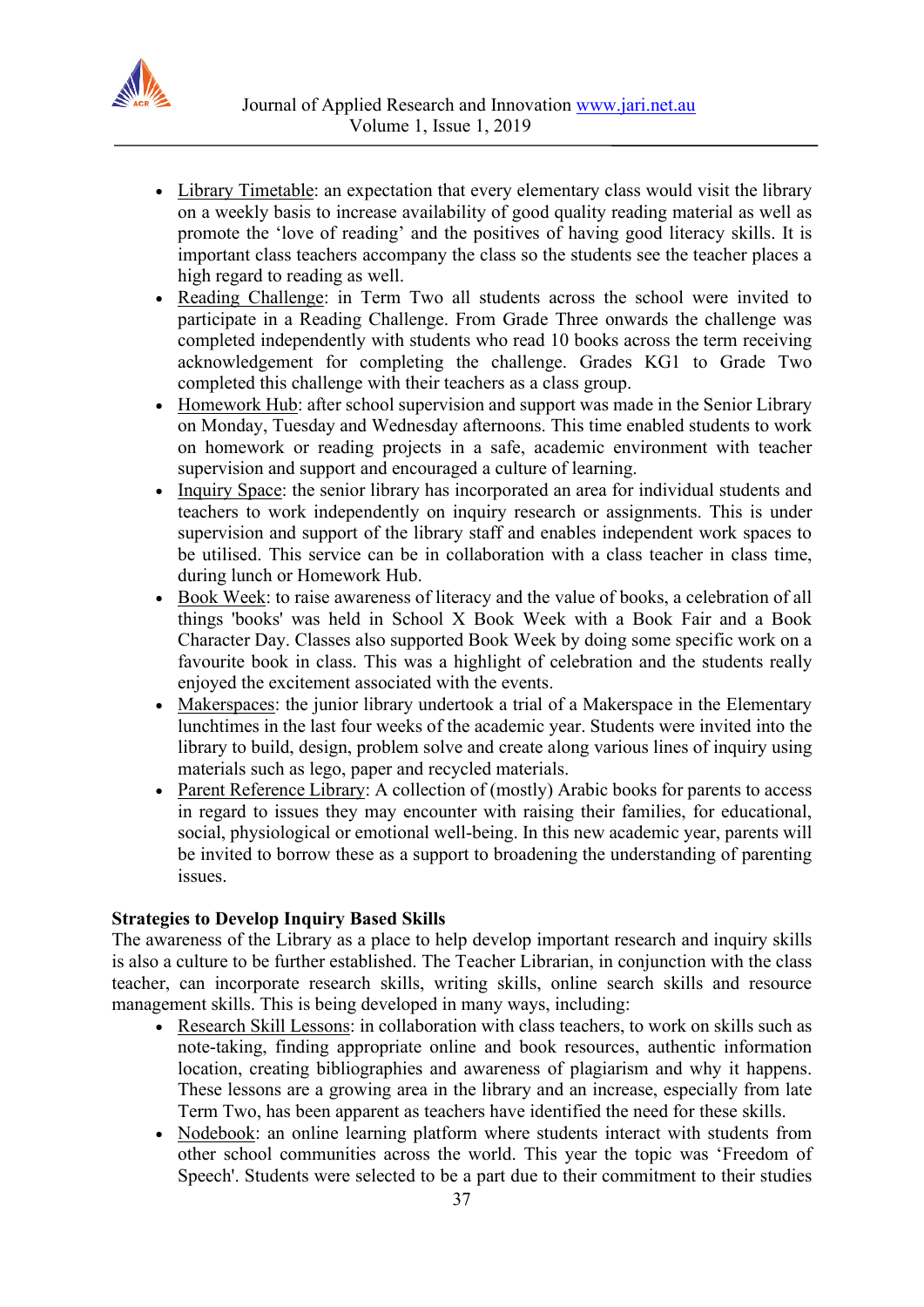

- Library Timetable: an expectation that every elementary class would visit the library on a weekly basis to increase availability of good quality reading material as well as promote the 'love of reading' and the positives of having good literacy skills. It is important class teachers accompany the class so the students see the teacher places a high regard to reading as well.
- Reading Challenge: in Term Two all students across the school were invited to participate in a Reading Challenge. From Grade Three onwards the challenge was completed independently with students who read 10 books across the term receiving acknowledgement for completing the challenge. Grades KG1 to Grade Two completed this challenge with their teachers as a class group.
- Homework Hub: after school supervision and support was made in the Senior Library on Monday, Tuesday and Wednesday afternoons. This time enabled students to work on homework or reading projects in a safe, academic environment with teacher supervision and support and encouraged a culture of learning.
- Inquiry Space: the senior library has incorporated an area for individual students and teachers to work independently on inquiry research or assignments. This is under supervision and support of the library staff and enables independent work spaces to be utilised. This service can be in collaboration with a class teacher in class time, during lunch or Homework Hub.
- Book Week: to raise awareness of literacy and the value of books, a celebration of all things 'books' was held in School X Book Week with a Book Fair and a Book Character Day. Classes also supported Book Week by doing some specific work on a favourite book in class. This was a highlight of celebration and the students really enjoyed the excitement associated with the events.
- Makerspaces: the junior library undertook a trial of a Makerspace in the Elementary lunchtimes in the last four weeks of the academic year. Students were invited into the library to build, design, problem solve and create along various lines of inquiry using materials such as lego, paper and recycled materials.
- Parent Reference Library: A collection of (mostly) Arabic books for parents to access in regard to issues they may encounter with raising their families, for educational, social, physiological or emotional well-being. In this new academic year, parents will be invited to borrow these as a support to broadening the understanding of parenting issues.

# **Strategies to Develop Inquiry Based Skills**

The awareness of the Library as a place to help develop important research and inquiry skills is also a culture to be further established. The Teacher Librarian, in conjunction with the class teacher, can incorporate research skills, writing skills, online search skills and resource management skills. This is being developed in many ways, including:

- Research Skill Lessons: in collaboration with class teachers, to work on skills such as note-taking, finding appropriate online and book resources, authentic information location, creating bibliographies and awareness of plagiarism and why it happens. These lessons are a growing area in the library and an increase, especially from late Term Two, has been apparent as teachers have identified the need for these skills.
- Nodebook: an online learning platform where students interact with students from other school communities across the world. This year the topic was 'Freedom of Speech'. Students were selected to be a part due to their commitment to their studies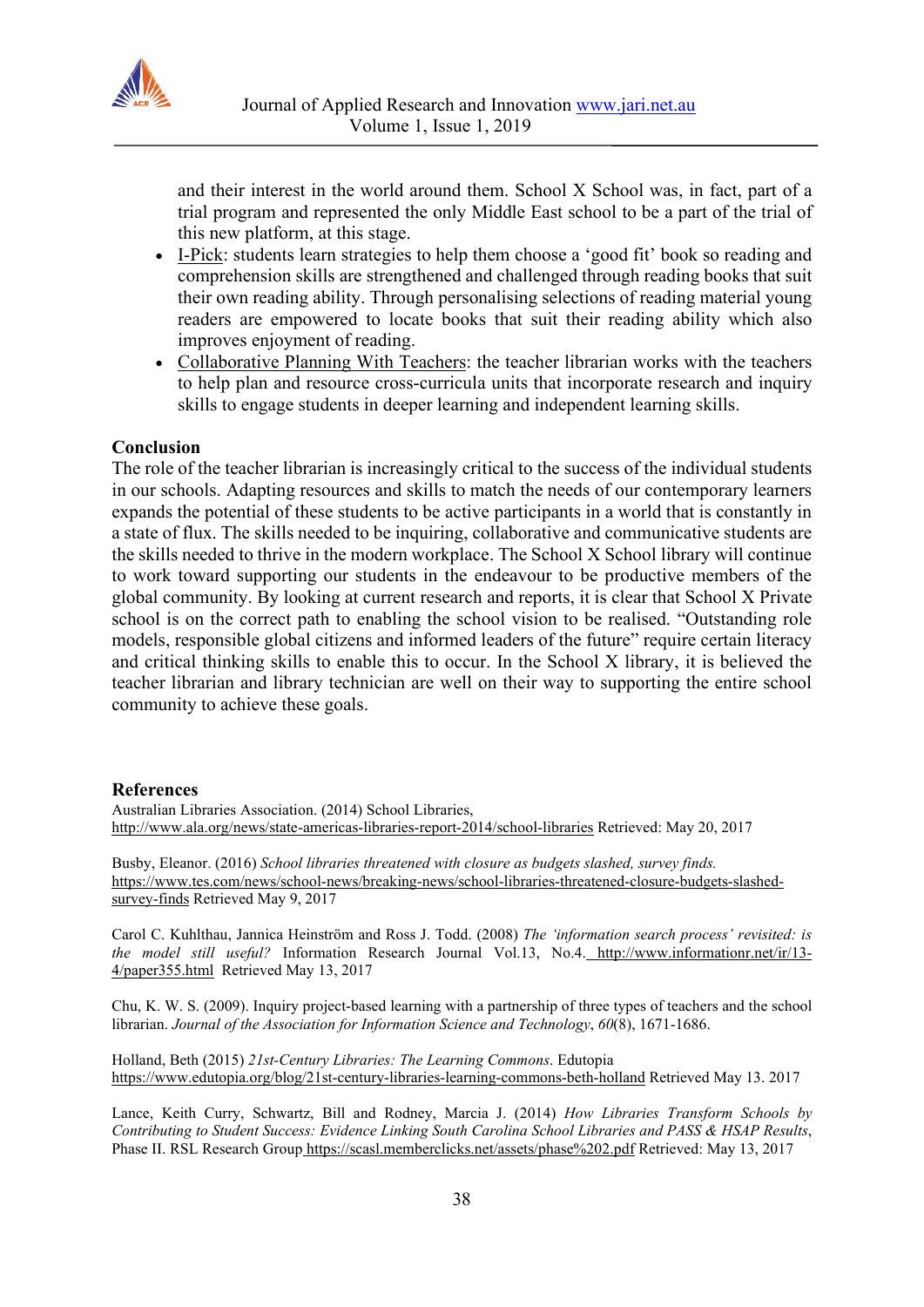

and their interest in the world around them. School X School was, in fact, part of a trial program and represented the only Middle East school to be a part of the trial of this new platform, at this stage.

- I-Pick: students learn strategies to help them choose a 'good fit' book so reading and comprehension skills are strengthened and challenged through reading books that suit their own reading ability. Through personalising selections of reading material young readers are empowered to locate books that suit their reading ability which also improves enjoyment of reading.
- Collaborative Planning With Teachers: the teacher librarian works with the teachers to help plan and resource cross-curricula units that incorporate research and inquiry skills to engage students in deeper learning and independent learning skills.

#### **Conclusion**

The role of the teacher librarian is increasingly critical to the success of the individual students in our schools. Adapting resources and skills to match the needs of our contemporary learners expands the potential of these students to be active participants in a world that is constantly in a state of flux. The skills needed to be inquiring, collaborative and communicative students are the skills needed to thrive in the modern workplace. The School X School library will continue to work toward supporting our students in the endeavour to be productive members of the global community. By looking at current research and reports, it is clear that School X Private school is on the correct path to enabling the school vision to be realised. "Outstanding role models, responsible global citizens and informed leaders of the future" require certain literacy and critical thinking skills to enable this to occur. In the School X library, it is believed the teacher librarian and library technician are well on their way to supporting the entire school community to achieve these goals.

#### **References**

Australian Libraries Association. (2014) School Libraries, <http://www.ala.org/news/state-americas-libraries-report-2014/school-libraries> Retrieved: May 20, 2017

Busby, Eleanor. (2016) *School libraries threatened with closure as budgets slashed, survey finds.* [https://www.tes.com/news/school-news/breaking-news/school-libraries-threatened-closure-budgets-slashed](https://www.tes.com/news/school-news/breaking-news/school-libraries-threatened-closure-budgets-slashed-survey-finds)[survey-finds](https://www.tes.com/news/school-news/breaking-news/school-libraries-threatened-closure-budgets-slashed-survey-finds) Retrieved May 9, 2017

Carol C. Kuhlthau, Jannica Heinström and Ross J. Todd. (2008) *The 'information search process' revisited: is the model still useful?* Information Research Journal Vol.13, No.4. [http://www.informationr.net/ir/13-](http://www.informationr.net/ir/13-4/paper355.html) [4/paper355.html](http://www.informationr.net/ir/13-4/paper355.html) Retrieved May 13, 2017

Chu, K. W. S. (2009). Inquiry project‐based learning with a partnership of three types of teachers and the school librarian. *Journal of the Association for Information Science and Technology*, *60*(8), 1671-1686.

Holland, Beth (2015) *21st-Century Libraries: The Learning Commons*. Edutopia <https://www.edutopia.org/blog/21st-century-libraries-learning-commons-beth-holland> Retrieved May 13. 2017

Lance, Keith Curry, Schwartz, Bill and Rodney, Marcia J. (2014) *How Libraries Transform Schools by Contributing to Student Success: Evidence Linking South Carolina School Libraries and PASS & HSAP Results*, Phase II. RSL Research Group <https://scasl.memberclicks.net/assets/phase%202.pdf> Retrieved: May 13, 2017